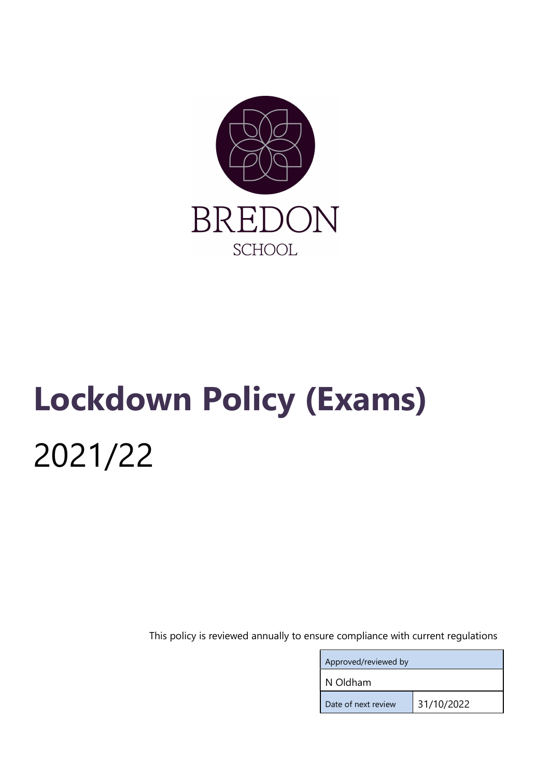

# Lockdown Policy (Exams) 2021/22

This policy is reviewed annually to ensure compliance with current regulations

| Approved/reviewed by |            |
|----------------------|------------|
| N Oldham             |            |
| Date of next review  | 31/10/2022 |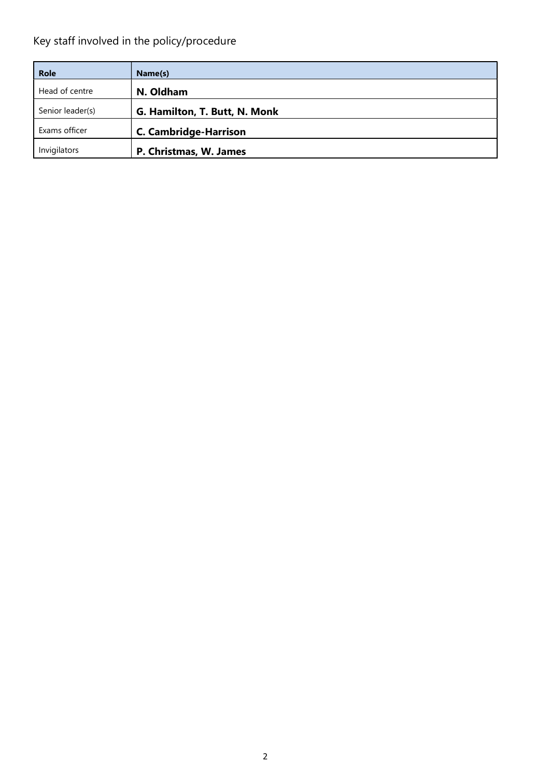## Key staff involved in the policy/procedure

| <b>Role</b>      | Name(s)                       |
|------------------|-------------------------------|
| Head of centre   | N. Oldham                     |
| Senior leader(s) | G. Hamilton, T. Butt, N. Monk |
| Exams officer    | <b>C. Cambridge-Harrison</b>  |
| Invigilators     | P. Christmas, W. James        |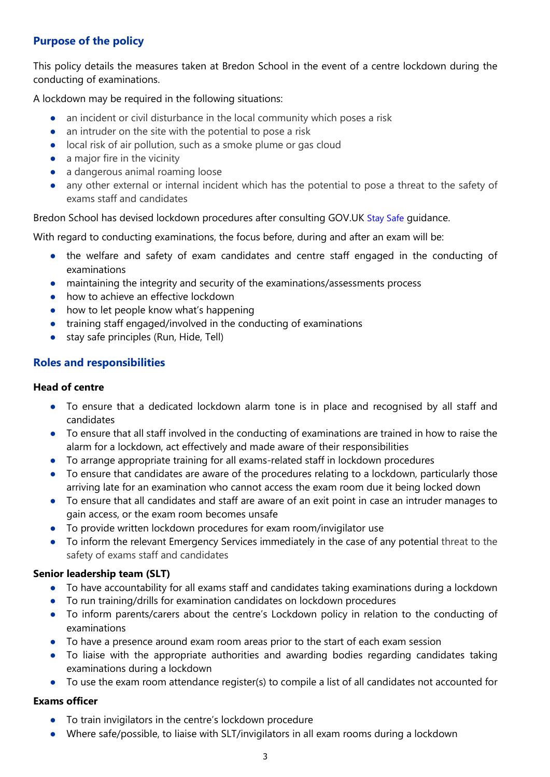### Purpose of the policy

This policy details the measures taken at Bredon School in the event of a centre lockdown during the conducting of examinations.

A lockdown may be required in the following situations:

- an incident or civil disturbance in the local community which poses a risk
- an intruder on the site with the potential to pose a risk
- local risk of air pollution, such as a smoke plume or gas cloud
- $\bullet$  a major fire in the vicinity
- a dangerous animal roaming loose
- any other external or internal incident which has the potential to pose a threat to the safety of exams staff and candidates

Bredon School has devised lockdown procedures after consulting GOV.UK Stay Safe guidance.

With regard to conducting examinations, the focus before, during and after an exam will be:

- the welfare and safety of exam candidates and centre staff engaged in the conducting of examinations
- maintaining the integrity and security of the examinations/assessments process
- how to achieve an effective lockdown
- how to let people know what's happening
- training staff engaged/involved in the conducting of examinations
- stay safe principles (Run, Hide, Tell)

#### Roles and responsibilities

#### Head of centre

- To ensure that a dedicated lockdown alarm tone is in place and recognised by all staff and candidates
- To ensure that all staff involved in the conducting of examinations are trained in how to raise the alarm for a lockdown, act effectively and made aware of their responsibilities
- To arrange appropriate training for all exams-related staff in lockdown procedures
- To ensure that candidates are aware of the procedures relating to a lockdown, particularly those arriving late for an examination who cannot access the exam room due it being locked down
- To ensure that all candidates and staff are aware of an exit point in case an intruder manages to gain access, or the exam room becomes unsafe
- To provide written lockdown procedures for exam room/invigilator use
- To inform the relevant Emergency Services immediately in the case of any potential threat to the safety of exams staff and candidates

#### Senior leadership team (SLT)

- To have accountability for all exams staff and candidates taking examinations during a lockdown
- To run training/drills for examination candidates on lockdown procedures
- To inform parents/carers about the centre's Lockdown policy in relation to the conducting of examinations
- To have a presence around exam room areas prior to the start of each exam session
- To liaise with the appropriate authorities and awarding bodies regarding candidates taking examinations during a lockdown
- To use the exam room attendance register(s) to compile a list of all candidates not accounted for

#### Exams officer

- To train invigilators in the centre's lockdown procedure
- Where safe/possible, to liaise with SLT/invigilators in all exam rooms during a lockdown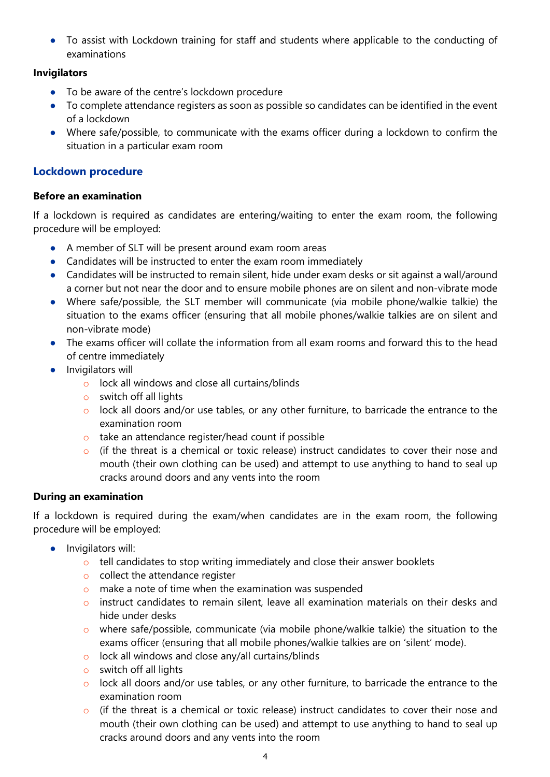● To assist with Lockdown training for staff and students where applicable to the conducting of examinations

#### Invigilators

- To be aware of the centre's lockdown procedure
- To complete attendance registers as soon as possible so candidates can be identified in the event of a lockdown
- Where safe/possible, to communicate with the exams officer during a lockdown to confirm the situation in a particular exam room

#### Lockdown procedure

#### Before an examination

If a lockdown is required as candidates are entering/waiting to enter the exam room, the following procedure will be employed:

- A member of SLT will be present around exam room areas
- Candidates will be instructed to enter the exam room immediately
- Candidates will be instructed to remain silent, hide under exam desks or sit against a wall/around a corner but not near the door and to ensure mobile phones are on silent and non-vibrate mode
- Where safe/possible, the SLT member will communicate (via mobile phone/walkie talkie) the situation to the exams officer (ensuring that all mobile phones/walkie talkies are on silent and non-vibrate mode)
- The exams officer will collate the information from all exam rooms and forward this to the head of centre immediately
- Invigilators will
	- o lock all windows and close all curtains/blinds
	- o switch off all lights
	- $\circ$  lock all doors and/or use tables, or any other furniture, to barricade the entrance to the examination room
	- o take an attendance register/head count if possible
	- o (if the threat is a chemical or toxic release) instruct candidates to cover their nose and mouth (their own clothing can be used) and attempt to use anything to hand to seal up cracks around doors and any vents into the room

#### During an examination

If a lockdown is required during the exam/when candidates are in the exam room, the following procedure will be employed:

- Invigilators will:
	- $\circ$  tell candidates to stop writing immediately and close their answer booklets
	- o collect the attendance register
	- o make a note of time when the examination was suspended
	- o instruct candidates to remain silent, leave all examination materials on their desks and hide under desks
	- $\circ$  where safe/possible, communicate (via mobile phone/walkie talkie) the situation to the exams officer (ensuring that all mobile phones/walkie talkies are on 'silent' mode).
	- o lock all windows and close any/all curtains/blinds
	- $\circ$  switch off all lights
	- $\circ$  lock all doors and/or use tables, or any other furniture, to barricade the entrance to the examination room
	- $\circ$  (if the threat is a chemical or toxic release) instruct candidates to cover their nose and mouth (their own clothing can be used) and attempt to use anything to hand to seal up cracks around doors and any vents into the room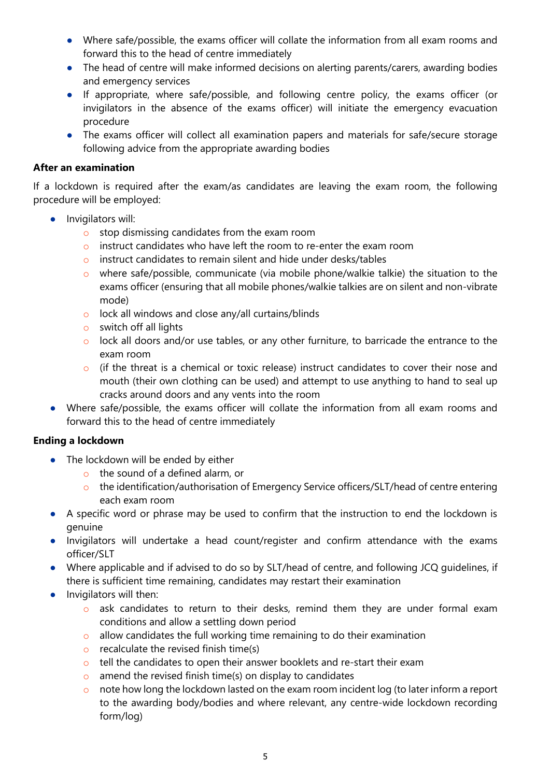- Where safe/possible, the exams officer will collate the information from all exam rooms and forward this to the head of centre immediately
- The head of centre will make informed decisions on alerting parents/carers, awarding bodies and emergency services
- If appropriate, where safe/possible, and following centre policy, the exams officer (or invigilators in the absence of the exams officer) will initiate the emergency evacuation procedure
- The exams officer will collect all examination papers and materials for safe/secure storage following advice from the appropriate awarding bodies

#### After an examination

If a lockdown is required after the exam/as candidates are leaving the exam room, the following procedure will be employed:

- **•** Invigilators will:
	- o stop dismissing candidates from the exam room
	- o instruct candidates who have left the room to re-enter the exam room
	- o instruct candidates to remain silent and hide under desks/tables
	- o where safe/possible, communicate (via mobile phone/walkie talkie) the situation to the exams officer (ensuring that all mobile phones/walkie talkies are on silent and non-vibrate mode)
	- o lock all windows and close any/all curtains/blinds
	- $\circ$  switch off all lights
	- o lock all doors and/or use tables, or any other furniture, to barricade the entrance to the exam room
	- o (if the threat is a chemical or toxic release) instruct candidates to cover their nose and mouth (their own clothing can be used) and attempt to use anything to hand to seal up cracks around doors and any vents into the room
- Where safe/possible, the exams officer will collate the information from all exam rooms and forward this to the head of centre immediately

#### Ending a lockdown

- The lockdown will be ended by either
	- o the sound of a defined alarm, or
	- o the identification/authorisation of Emergency Service officers/SLT/head of centre entering each exam room
- A specific word or phrase may be used to confirm that the instruction to end the lockdown is genuine
- Invigilators will undertake a head count/register and confirm attendance with the exams officer/SLT
- Where applicable and if advised to do so by SLT/head of centre, and following JCQ guidelines, if there is sufficient time remaining, candidates may restart their examination
- **•** Invigilators will then:
	- o ask candidates to return to their desks, remind them they are under formal exam conditions and allow a settling down period
	- o allow candidates the full working time remaining to do their examination
	- $\circ$  recalculate the revised finish time(s)
	- o tell the candidates to open their answer booklets and re-start their exam
	- $\circ$  amend the revised finish time(s) on display to candidates
	- $\circ$  note how long the lockdown lasted on the exam room incident log (to later inform a report to the awarding body/bodies and where relevant, any centre-wide lockdown recording form/log)